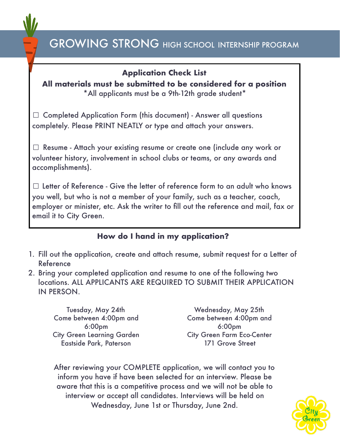## **Application Check List**

**All materials must be submitted to be considered for a position**  \*All applicants must be a 9th-12th grade student\*

☐ Completed Application Form (this document) - Answer all questions completely. Please PRINT NEATLY or type and attach your answers.

☐ Resume - Attach your existing resume or create one (include any work or volunteer history, involvement in school clubs or teams, or any awards and accomplishments).

 $\Box$  Letter of Reference - Give the letter of reference form to an adult who knows you well, but who is not a member of your family, such as a teacher, coach, employer or minister, etc. Ask the writer to fill out the reference and mail, fax or email it to City Green.

## **How do I hand in my application?**

- 1. Fill out the application, create and attach resume, submit request for a Letter of Reference
- 2. Bring your completed application and resume to one of the following two locations. ALL APPLICANTS ARE REQUIRED TO SUBMIT THEIR APPLICATION IN PERSON.

Tuesday, May 24th Come between 4:00pm and 6:00pm City Green Learning Garden Eastside Park, Paterson

Wednesday, May 25th Come between 4:00pm and 6:00pm City Green Farm Eco-Center 171 Grove Street

After reviewing your COMPLETE application, we will contact you to inform you have if have been selected for an interview. Please be aware that this is a competitive process and we will not be able to interview or accept all candidates. Interviews will be held on Wednesday, June 1st or Thursday, June 2nd.

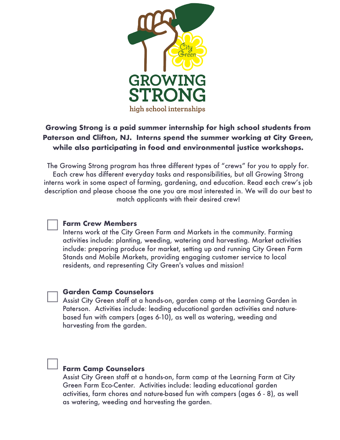

## **Growing Strong is a paid summer internship for high school students from Paterson and Clifton, NJ. Interns spend the summer working at City Green, while also participating in food and environmental justice workshops.**

The Growing Strong program has three different types of "crews" for you to apply for. Each crew has different everyday tasks and responsibilities, but all Growing Strong interns work in some aspect of farming, gardening, and education. Read each crew's job description and please choose the one you are most interested in. We will do our best to match applicants with their desired crew!

#### **Farm Crew Members**

 $\Box$ 

 $\Box$ 

 $\Box$ 

Interns work at the City Green Farm and Markets in the community. Farming activities include: planting, weeding, watering and harvesting. Market activities include: preparing produce for market, setting up and running City Green Farm Stands and Mobile Markets, providing engaging customer service to local residents, and representing City Green's values and mission!

#### **Garden Camp Counselors**

Assist City Green staff at a hands-on, garden camp at the Learning Garden in Paterson. Activities include: leading educational garden activities and naturebased fun with campers (ages 6-10), as well as watering, weeding and harvesting from the garden.

## **Farm Camp Counselors**

Assist City Green staff at a hands-on, farm camp at the Learning Farm at City Green Farm Eco-Center. Activities include: leading educational garden activities, farm chores and nature-based fun with campers (ages 6 - 8), as well as watering, weeding and harvesting the garden.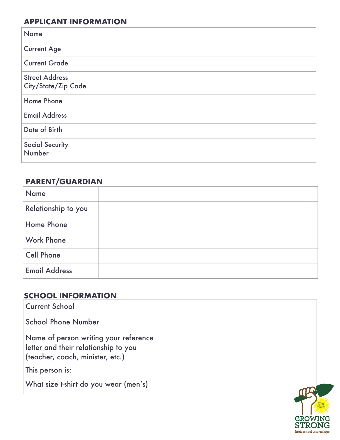## **APPLICANT INFORMATION**

| <b>Name</b>                                  |  |
|----------------------------------------------|--|
| <b>Current Age</b>                           |  |
| <b>Current Grade</b>                         |  |
| <b>Street Address</b><br>City/State/Zip Code |  |
| Home Phone                                   |  |
| <b>Email Address</b>                         |  |
| Date of Birth                                |  |
| <b>Social Security</b><br>Number             |  |

## **PARENT/GUARDIAN**

| <b>Name</b>          |  |
|----------------------|--|
| Relationship to you  |  |
| Home Phone           |  |
| <b>Work Phone</b>    |  |
| <b>Cell Phone</b>    |  |
| <b>Email Address</b> |  |

## **SCHOOL INFORMATION**

| <b>Current School</b>                                                                                             |  |
|-------------------------------------------------------------------------------------------------------------------|--|
| <b>School Phone Number</b>                                                                                        |  |
| Name of person writing your reference<br>letter and their relationship to you<br>(teacher, coach, minister, etc.) |  |
| This person is:                                                                                                   |  |
| What size t-shirt do you wear (men's)                                                                             |  |

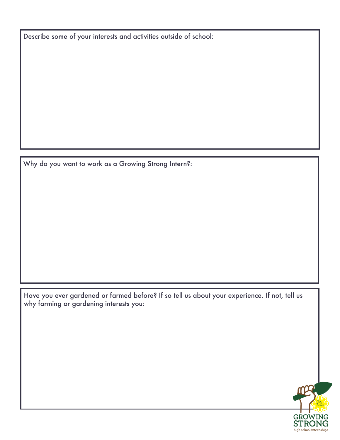Describe some of your interests and activities outside of school:

Why do you want to work as a Growing Strong Intern?:

Have you ever gardened or farmed before? If so tell us about your experience. If not, tell us why farming or gardening interests you:

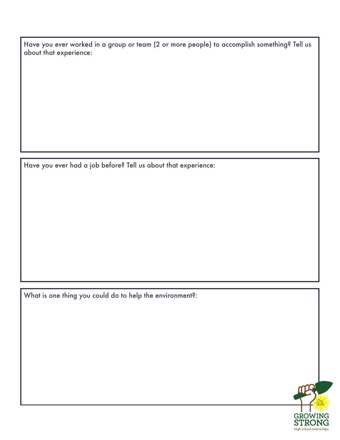Have you ever worked in a group or team (2 or more people) to accomplish something? Tell us about that experience:

Have you ever had a job before? Tell us about that experience:

What is one thing you could do to help the environment?:

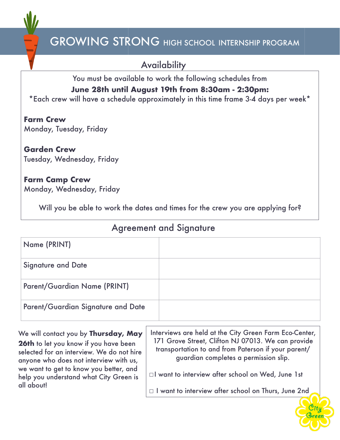

**Availability** 

You must be available to work the following schedules from **June 28th until August 19th from 8:30am - 2:30pm:** 

\*Each crew will have a schedule approximately in this time frame 3-4 days per week\*

**Farm Crew**  Monday, Tuesday, Friday

**Garden Crew**  Tuesday, Wednesday, Friday

#### **Farm Camp Crew**  Monday, Wednesday, Friday

Will you be able to work the dates and times for the crew you are applying for?

## Agreement and Signature

| Name (PRINT)                       |  |
|------------------------------------|--|
| <b>Signature and Date</b>          |  |
| Parent/Guardian Name (PRINT)       |  |
| Parent/Guardian Signature and Date |  |

We will contact you by **Thursday, May 26th** to let you know if you have been selected for an interview. We do not hire anyone who does not interview with us, we want to get to know you better, and help you understand what City Green is all about!

Interviews are held at the City Green Farm Eco-Center, 171 Grove Street, Clifton NJ 07013. We can provide transportation to and from Paterson if your parent/ guardian completes a permission slip.

☐I want to interview after school on Wed, June 1st

☐ I want to interview after school on Thurs, June 2nd